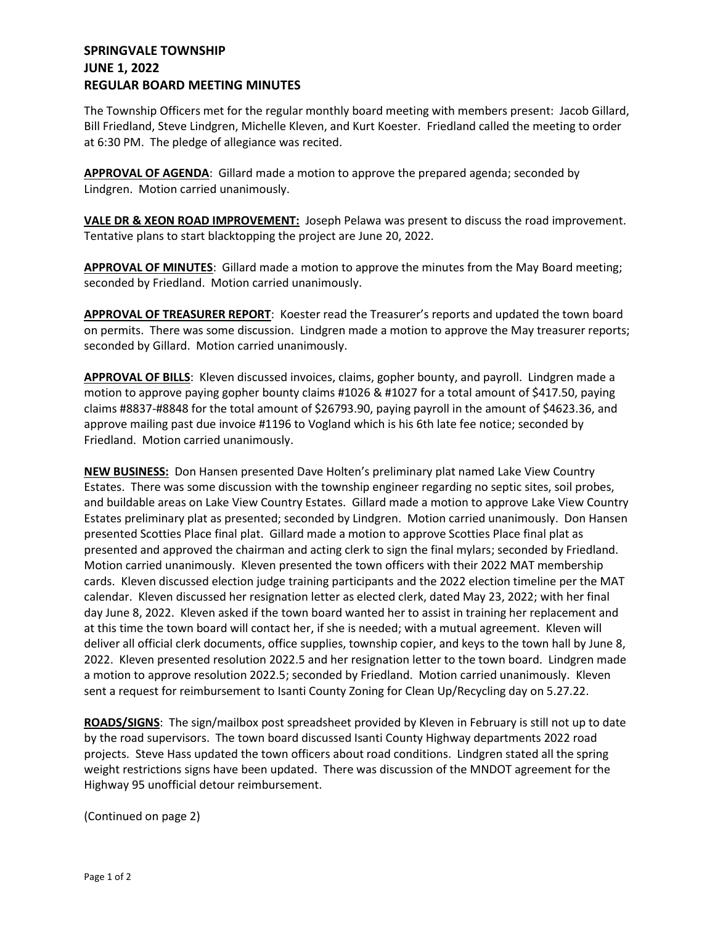## **SPRINGVALE TOWNSHIP JUNE 1, 2022 REGULAR BOARD MEETING MINUTES**

The Township Officers met for the regular monthly board meeting with members present: Jacob Gillard, Bill Friedland, Steve Lindgren, Michelle Kleven, and Kurt Koester. Friedland called the meeting to order at 6:30 PM. The pledge of allegiance was recited.

**APPROVAL OF AGENDA**: Gillard made a motion to approve the prepared agenda; seconded by Lindgren. Motion carried unanimously.

**VALE DR & XEON ROAD IMPROVEMENT:** Joseph Pelawa was present to discuss the road improvement. Tentative plans to start blacktopping the project are June 20, 2022.

**APPROVAL OF MINUTES**: Gillard made a motion to approve the minutes from the May Board meeting; seconded by Friedland. Motion carried unanimously.

**APPROVAL OF TREASURER REPORT**: Koester read the Treasurer's reports and updated the town board on permits. There was some discussion. Lindgren made a motion to approve the May treasurer reports; seconded by Gillard. Motion carried unanimously.

**APPROVAL OF BILLS**: Kleven discussed invoices, claims, gopher bounty, and payroll. Lindgren made a motion to approve paying gopher bounty claims #1026 & #1027 for a total amount of \$417.50, paying claims #8837-#8848 for the total amount of \$26793.90, paying payroll in the amount of \$4623.36, and approve mailing past due invoice #1196 to Vogland which is his 6th late fee notice; seconded by Friedland. Motion carried unanimously.

**NEW BUSINESS:** Don Hansen presented Dave Holten's preliminary plat named Lake View Country Estates. There was some discussion with the township engineer regarding no septic sites, soil probes, and buildable areas on Lake View Country Estates. Gillard made a motion to approve Lake View Country Estates preliminary plat as presented; seconded by Lindgren. Motion carried unanimously. Don Hansen presented Scotties Place final plat. Gillard made a motion to approve Scotties Place final plat as presented and approved the chairman and acting clerk to sign the final mylars; seconded by Friedland. Motion carried unanimously. Kleven presented the town officers with their 2022 MAT membership cards. Kleven discussed election judge training participants and the 2022 election timeline per the MAT calendar. Kleven discussed her resignation letter as elected clerk, dated May 23, 2022; with her final day June 8, 2022. Kleven asked if the town board wanted her to assist in training her replacement and at this time the town board will contact her, if she is needed; with a mutual agreement. Kleven will deliver all official clerk documents, office supplies, township copier, and keys to the town hall by June 8, 2022. Kleven presented resolution 2022.5 and her resignation letter to the town board. Lindgren made a motion to approve resolution 2022.5; seconded by Friedland. Motion carried unanimously. Kleven sent a request for reimbursement to Isanti County Zoning for Clean Up/Recycling day on 5.27.22.

**ROADS/SIGNS**: The sign/mailbox post spreadsheet provided by Kleven in February is still not up to date by the road supervisors. The town board discussed Isanti County Highway departments 2022 road projects. Steve Hass updated the town officers about road conditions. Lindgren stated all the spring weight restrictions signs have been updated. There was discussion of the MNDOT agreement for the Highway 95 unofficial detour reimbursement.

(Continued on page 2)